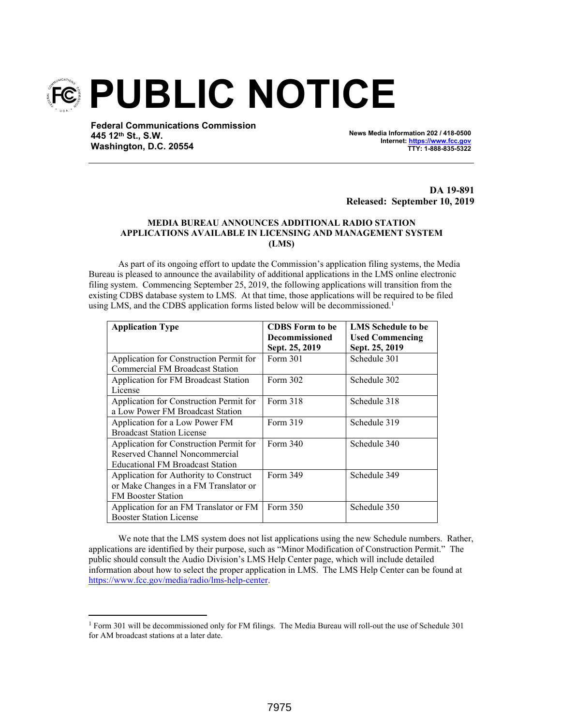

**Federal Communications Commission 445 12th St., S.W. Washington, D.C. 20554**

**News Media Information 202 / 418-0500 Internet: https://www.fcc.gov TTY: 1-888-835-5322**

**DA 19-891 Released: September 10, 2019**

## **MEDIA BUREAU ANNOUNCES ADDITIONAL RADIO STATION APPLICATIONS AVAILABLE IN LICENSING AND MANAGEMENT SYSTEM (LMS)**

As part of its ongoing effort to update the Commission's application filing systems, the Media Bureau is pleased to announce the availability of additional applications in the LMS online electronic filing system. Commencing September 25, 2019, the following applications will transition from the existing CDBS database system to LMS. At that time, those applications will be required to be filed using LMS, and the CDBS application forms listed below will be decommissioned.<sup>1</sup>

| <b>Application Type</b>                 | <b>CDBS</b> Form to be | <b>LMS</b> Schedule to be |
|-----------------------------------------|------------------------|---------------------------|
|                                         | <b>Decommissioned</b>  | <b>Used Commencing</b>    |
|                                         | Sept. 25, 2019         | Sept. 25, 2019            |
| Application for Construction Permit for | Form 301               | Schedule 301              |
| <b>Commercial FM Broadcast Station</b>  |                        |                           |
| Application for FM Broadcast Station    | Form 302               | Schedule 302              |
| License                                 |                        |                           |
| Application for Construction Permit for | Form 318               | Schedule 318              |
| a Low Power FM Broadcast Station        |                        |                           |
| Application for a Low Power FM          | Form 319               | Schedule 319              |
| <b>Broadcast Station License</b>        |                        |                           |
| Application for Construction Permit for | Form 340               | Schedule 340              |
| Reserved Channel Noncommercial          |                        |                           |
| <b>Educational FM Broadcast Station</b> |                        |                           |
| Application for Authority to Construct  | Form 349               | Schedule 349              |
| or Make Changes in a FM Translator or   |                        |                           |
| <b>FM Booster Station</b>               |                        |                           |
| Application for an FM Translator or FM  | Form 350               | Schedule 350              |
| <b>Booster Station License</b>          |                        |                           |

We note that the LMS system does not list applications using the new Schedule numbers. Rather, applications are identified by their purpose, such as "Minor Modification of Construction Permit." The public should consult the Audio Division's LMS Help Center page, which will include detailed information about how to select the proper application in LMS. The LMS Help Center can be found at https://www.fcc.gov/media/radio/lms-help-center.

<sup>&</sup>lt;sup>1</sup> Form 301 will be decommissioned only for FM filings. The Media Bureau will roll-out the use of Schedule 301 for AM broadcast stations at a later date.